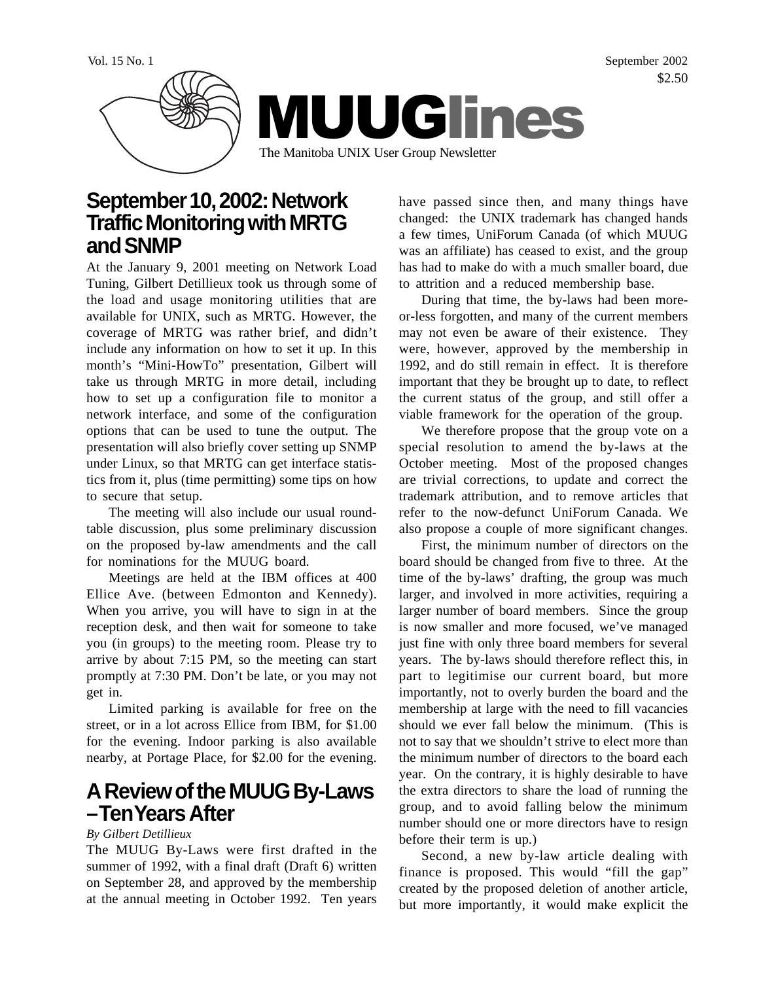

## **September 10, 2002: Network Traffic Monitoring with MRTG and SNMP**

At the January 9, 2001 meeting on Network Load Tuning, Gilbert Detillieux took us through some of the load and usage monitoring utilities that are available for UNIX, such as MRTG. However, the coverage of MRTG was rather brief, and didn't include any information on how to set it up. In this month's "Mini-HowTo" presentation, Gilbert will take us through MRTG in more detail, including how to set up a configuration file to monitor a network interface, and some of the configuration options that can be used to tune the output. The presentation will also briefly cover setting up SNMP under Linux, so that MRTG can get interface statistics from it, plus (time permitting) some tips on how to secure that setup.

The meeting will also include our usual roundtable discussion, plus some preliminary discussion on the proposed by-law amendments and the call for nominations for the MUUG board.

Meetings are held at the IBM offices at 400 Ellice Ave. (between Edmonton and Kennedy). When you arrive, you will have to sign in at the reception desk, and then wait for someone to take you (in groups) to the meeting room. Please try to arrive by about 7:15 PM, so the meeting can start promptly at 7:30 PM. Don't be late, or you may not get in.

Limited parking is available for free on the street, or in a lot across Ellice from IBM, for \$1.00 for the evening. Indoor parking is also available nearby, at Portage Place, for \$2.00 for the evening.

## **A Review of the MUUG By-Laws – Ten Years After**

### *By Gilbert Detillieux*

The MUUG By-Laws were first drafted in the summer of 1992, with a final draft (Draft 6) written on September 28, and approved by the membership at the annual meeting in October 1992. Ten years

have passed since then, and many things have changed: the UNIX trademark has changed hands a few times, UniForum Canada (of which MUUG was an affiliate) has ceased to exist, and the group has had to make do with a much smaller board, due to attrition and a reduced membership base.

During that time, the by-laws had been moreor-less forgotten, and many of the current members may not even be aware of their existence. They were, however, approved by the membership in 1992, and do still remain in effect. It is therefore important that they be brought up to date, to reflect the current status of the group, and still offer a viable framework for the operation of the group.

We therefore propose that the group vote on a special resolution to amend the by-laws at the October meeting. Most of the proposed changes are trivial corrections, to update and correct the trademark attribution, and to remove articles that refer to the now-defunct UniForum Canada. We also propose a couple of more significant changes.

First, the minimum number of directors on the board should be changed from five to three. At the time of the by-laws' drafting, the group was much larger, and involved in more activities, requiring a larger number of board members. Since the group is now smaller and more focused, we've managed just fine with only three board members for several years. The by-laws should therefore reflect this, in part to legitimise our current board, but more importantly, not to overly burden the board and the membership at large with the need to fill vacancies should we ever fall below the minimum. (This is not to say that we shouldn't strive to elect more than the minimum number of directors to the board each year. On the contrary, it is highly desirable to have the extra directors to share the load of running the group, and to avoid falling below the minimum number should one or more directors have to resign before their term is up.)

Second, a new by-law article dealing with finance is proposed. This would "fill the gap" created by the proposed deletion of another article, but more importantly, it would make explicit the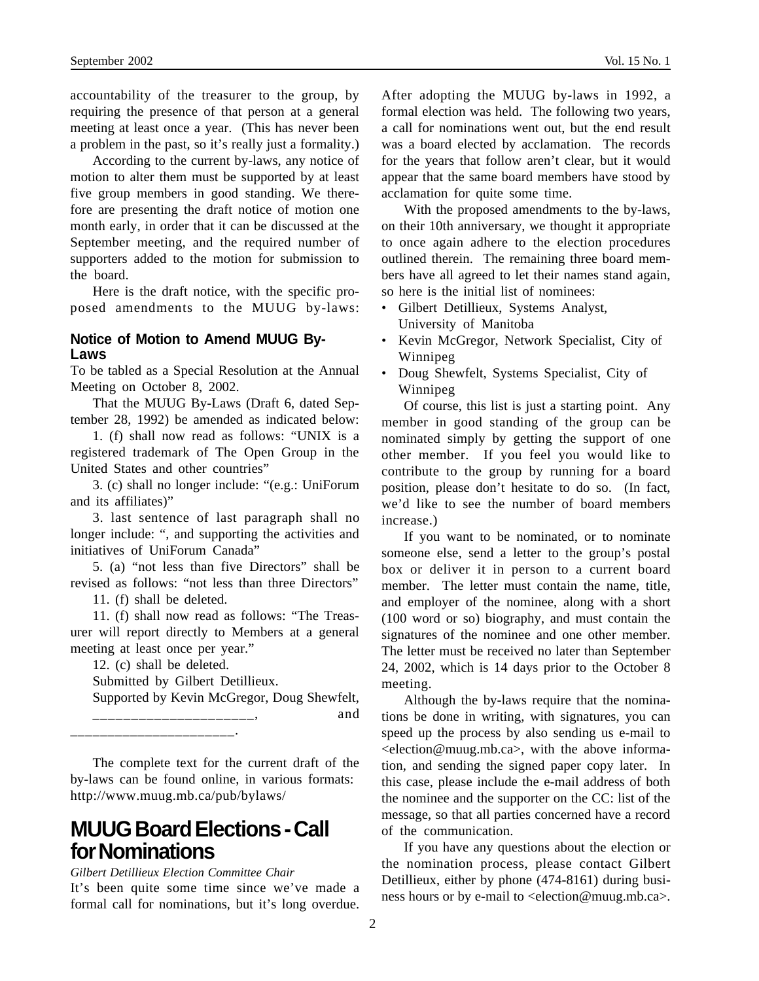accountability of the treasurer to the group, by requiring the presence of that person at a general meeting at least once a year. (This has never been a problem in the past, so it's really just a formality.)

According to the current by-laws, any notice of motion to alter them must be supported by at least five group members in good standing. We therefore are presenting the draft notice of motion one month early, in order that it can be discussed at the September meeting, and the required number of supporters added to the motion for submission to the board.

Here is the draft notice, with the specific proposed amendments to the MUUG by-laws:

#### **Notice of Motion to Amend MUUG By-Laws**

To be tabled as a Special Resolution at the Annual Meeting on October 8, 2002.

That the MUUG By-Laws (Draft 6, dated September 28, 1992) be amended as indicated below:

1. (f) shall now read as follows: "UNIX is a registered trademark of The Open Group in the United States and other countries"

3. (c) shall no longer include: "(e.g.: UniForum and its affiliates)"

3. last sentence of last paragraph shall no longer include: ", and supporting the activities and initiatives of UniForum Canada"

5. (a) "not less than five Directors" shall be revised as follows: "not less than three Directors"

11. (f) shall be deleted.

11. (f) shall now read as follows: "The Treasurer will report directly to Members at a general meeting at least once per year."

12. (c) shall be deleted.

Submitted by Gilbert Detillieux.

Supported by Kevin McGregor, Doug Shewfelt, \_\_\_\_\_\_\_\_\_\_\_\_\_\_\_\_\_\_\_\_\_, and

\_\_\_\_\_\_\_\_\_\_\_\_\_\_\_\_\_\_\_\_\_\_.

The complete text for the current draft of the by-laws can be found online, in various formats: http://www.muug.mb.ca/pub/bylaws/

## **MUUG Board Elections - Call for Nominations**

*Gilbert Detillieux Election Committee Chair*

It's been quite some time since we've made a formal call for nominations, but it's long overdue. After adopting the MUUG by-laws in 1992, a formal election was held. The following two years, a call for nominations went out, but the end result was a board elected by acclamation. The records for the years that follow aren't clear, but it would appear that the same board members have stood by acclamation for quite some time.

With the proposed amendments to the by-laws, on their 10th anniversary, we thought it appropriate to once again adhere to the election procedures outlined therein. The remaining three board members have all agreed to let their names stand again, so here is the initial list of nominees:

- Gilbert Detillieux, Systems Analyst, University of Manitoba
- Kevin McGregor, Network Specialist, City of Winnipeg
- Doug Shewfelt, Systems Specialist, City of Winnipeg

Of course, this list is just a starting point. Any member in good standing of the group can be nominated simply by getting the support of one other member. If you feel you would like to contribute to the group by running for a board position, please don't hesitate to do so. (In fact, we'd like to see the number of board members increase.)

If you want to be nominated, or to nominate someone else, send a letter to the group's postal box or deliver it in person to a current board member. The letter must contain the name, title, and employer of the nominee, along with a short (100 word or so) biography, and must contain the signatures of the nominee and one other member. The letter must be received no later than September 24, 2002, which is 14 days prior to the October 8 meeting.

Although the by-laws require that the nominations be done in writing, with signatures, you can speed up the process by also sending us e-mail to <election@muug.mb.ca>, with the above information, and sending the signed paper copy later. In this case, please include the e-mail address of both the nominee and the supporter on the CC: list of the message, so that all parties concerned have a record of the communication.

If you have any questions about the election or the nomination process, please contact Gilbert Detillieux, either by phone (474-8161) during business hours or by e-mail to <election@muug.mb.ca>.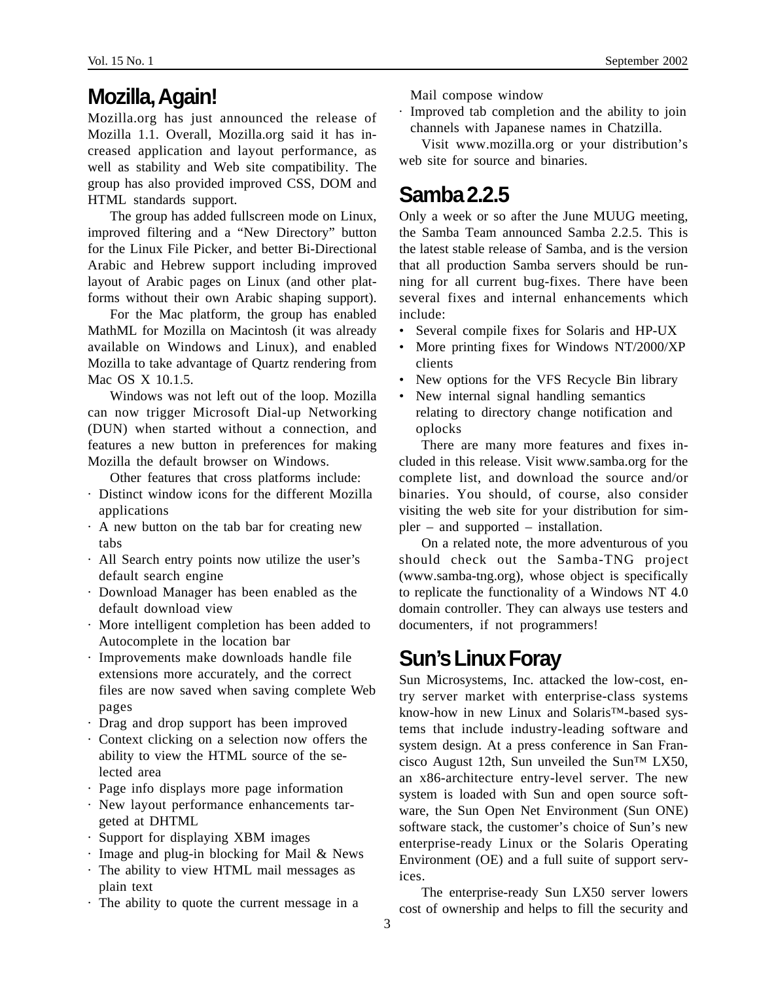# **Mozilla, Again!**

Mozilla.org has just announced the release of Mozilla 1.1. Overall, Mozilla.org said it has increased application and layout performance, as well as stability and Web site compatibility. The group has also provided improved CSS, DOM and HTML standards support.

The group has added fullscreen mode on Linux, improved filtering and a "New Directory" button for the Linux File Picker, and better Bi-Directional Arabic and Hebrew support including improved layout of Arabic pages on Linux (and other platforms without their own Arabic shaping support).

For the Mac platform, the group has enabled MathML for Mozilla on Macintosh (it was already available on Windows and Linux), and enabled Mozilla to take advantage of Quartz rendering from Mac OS X 10.1.5.

Windows was not left out of the loop. Mozilla can now trigger Microsoft Dial-up Networking (DUN) when started without a connection, and features a new button in preferences for making Mozilla the default browser on Windows.

Other features that cross platforms include:

- · Distinct window icons for the different Mozilla applications
- · A new button on the tab bar for creating new tabs
- · All Search entry points now utilize the user's default search engine
- · Download Manager has been enabled as the default download view
- · More intelligent completion has been added to Autocomplete in the location bar
- · Improvements make downloads handle file extensions more accurately, and the correct files are now saved when saving complete Web pages
- · Drag and drop support has been improved
- · Context clicking on a selection now offers the ability to view the HTML source of the selected area
- · Page info displays more page information
- · New layout performance enhancements targeted at DHTML
- · Support for displaying XBM images
- · Image and plug-in blocking for Mail & News
- · The ability to view HTML mail messages as plain text
- · The ability to quote the current message in a

Mail compose window

Improved tab completion and the ability to join channels with Japanese names in Chatzilla.

Visit www.mozilla.org or your distribution's web site for source and binaries.

### **Samba 2.2.5**

Only a week or so after the June MUUG meeting, the Samba Team announced Samba 2.2.5. This is the latest stable release of Samba, and is the version that all production Samba servers should be running for all current bug-fixes. There have been several fixes and internal enhancements which include:

- Several compile fixes for Solaris and HP-UX
- More printing fixes for Windows NT/2000/XP clients
- New options for the VFS Recycle Bin library
- New internal signal handling semantics relating to directory change notification and oplocks

There are many more features and fixes included in this release. Visit www.samba.org for the complete list, and download the source and/or binaries. You should, of course, also consider visiting the web site for your distribution for simpler – and supported – installation.

On a related note, the more adventurous of you should check out the Samba-TNG project (www.samba-tng.org), whose object is specifically to replicate the functionality of a Windows NT 4.0 domain controller. They can always use testers and documenters, if not programmers!

## **Sun's Linux Foray**

Sun Microsystems, Inc. attacked the low-cost, entry server market with enterprise-class systems know-how in new Linux and Solaris™-based systems that include industry-leading software and system design. At a press conference in San Francisco August 12th, Sun unveiled the Sun<sup>TM</sup> LX50, an x86-architecture entry-level server. The new system is loaded with Sun and open source software, the Sun Open Net Environment (Sun ONE) software stack, the customer's choice of Sun's new enterprise-ready Linux or the Solaris Operating Environment (OE) and a full suite of support services.

The enterprise-ready Sun LX50 server lowers cost of ownership and helps to fill the security and